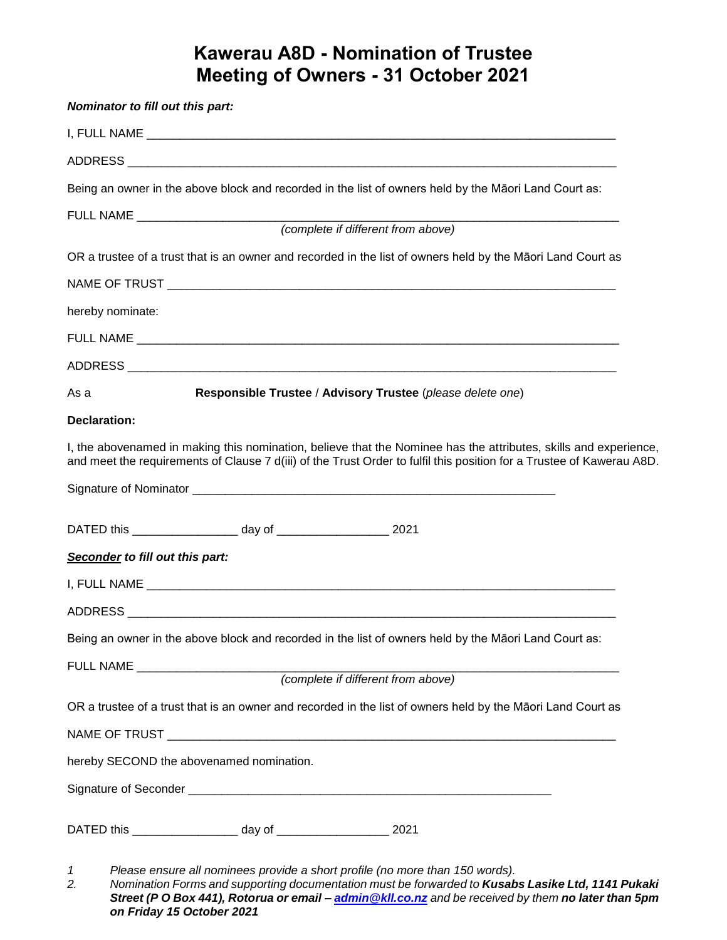## **Kawerau A8D - Nomination of Trustee Meeting of Owners - 31 October 2021**

| Nominator to fill out this part: |                                                                    |                                                                                                                                                                                                                                           |
|----------------------------------|--------------------------------------------------------------------|-------------------------------------------------------------------------------------------------------------------------------------------------------------------------------------------------------------------------------------------|
|                                  |                                                                    |                                                                                                                                                                                                                                           |
|                                  |                                                                    |                                                                                                                                                                                                                                           |
|                                  |                                                                    | Being an owner in the above block and recorded in the list of owners held by the Māori Land Court as:                                                                                                                                     |
|                                  |                                                                    |                                                                                                                                                                                                                                           |
|                                  |                                                                    | (complete if different from above)                                                                                                                                                                                                        |
|                                  |                                                                    | OR a trustee of a trust that is an owner and recorded in the list of owners held by the Māori Land Court as                                                                                                                               |
|                                  |                                                                    |                                                                                                                                                                                                                                           |
| hereby nominate:                 |                                                                    |                                                                                                                                                                                                                                           |
|                                  |                                                                    |                                                                                                                                                                                                                                           |
|                                  |                                                                    |                                                                                                                                                                                                                                           |
| As a                             |                                                                    | Responsible Trustee / Advisory Trustee (please delete one)                                                                                                                                                                                |
| <b>Declaration:</b>              |                                                                    |                                                                                                                                                                                                                                           |
|                                  |                                                                    | I, the abovenamed in making this nomination, believe that the Nominee has the attributes, skills and experience,<br>and meet the requirements of Clause 7 d(iii) of the Trust Order to fulfil this position for a Trustee of Kawerau A8D. |
|                                  |                                                                    |                                                                                                                                                                                                                                           |
|                                  |                                                                    |                                                                                                                                                                                                                                           |
|                                  | DATED this ____________________ day of ______________________ 2021 |                                                                                                                                                                                                                                           |
| Seconder to fill out this part:  |                                                                    |                                                                                                                                                                                                                                           |
|                                  |                                                                    |                                                                                                                                                                                                                                           |
|                                  |                                                                    |                                                                                                                                                                                                                                           |
|                                  |                                                                    | Being an owner in the above block and recorded in the list of owners held by the Māori Land Court as:                                                                                                                                     |
|                                  |                                                                    |                                                                                                                                                                                                                                           |
|                                  |                                                                    |                                                                                                                                                                                                                                           |
|                                  |                                                                    | OR a trustee of a trust that is an owner and recorded in the list of owners held by the Māori Land Court as                                                                                                                               |
|                                  |                                                                    |                                                                                                                                                                                                                                           |
|                                  | hereby SECOND the abovenamed nomination.                           |                                                                                                                                                                                                                                           |
|                                  |                                                                    |                                                                                                                                                                                                                                           |
|                                  |                                                                    |                                                                                                                                                                                                                                           |
| 1                                |                                                                    | Please ensure all nominees provide a short profile (no more than 150 words).                                                                                                                                                              |

*2. Nomination Forms and supporting documentation must be forwarded to Kusabs Lasike Ltd, 1141 Pukaki Street (P O Box 441), Rotorua or email – [admin@kll.co.nz](mailto:admin@kll.co.nz) and be received by them no later than 5pm on Friday 15 October 2021*